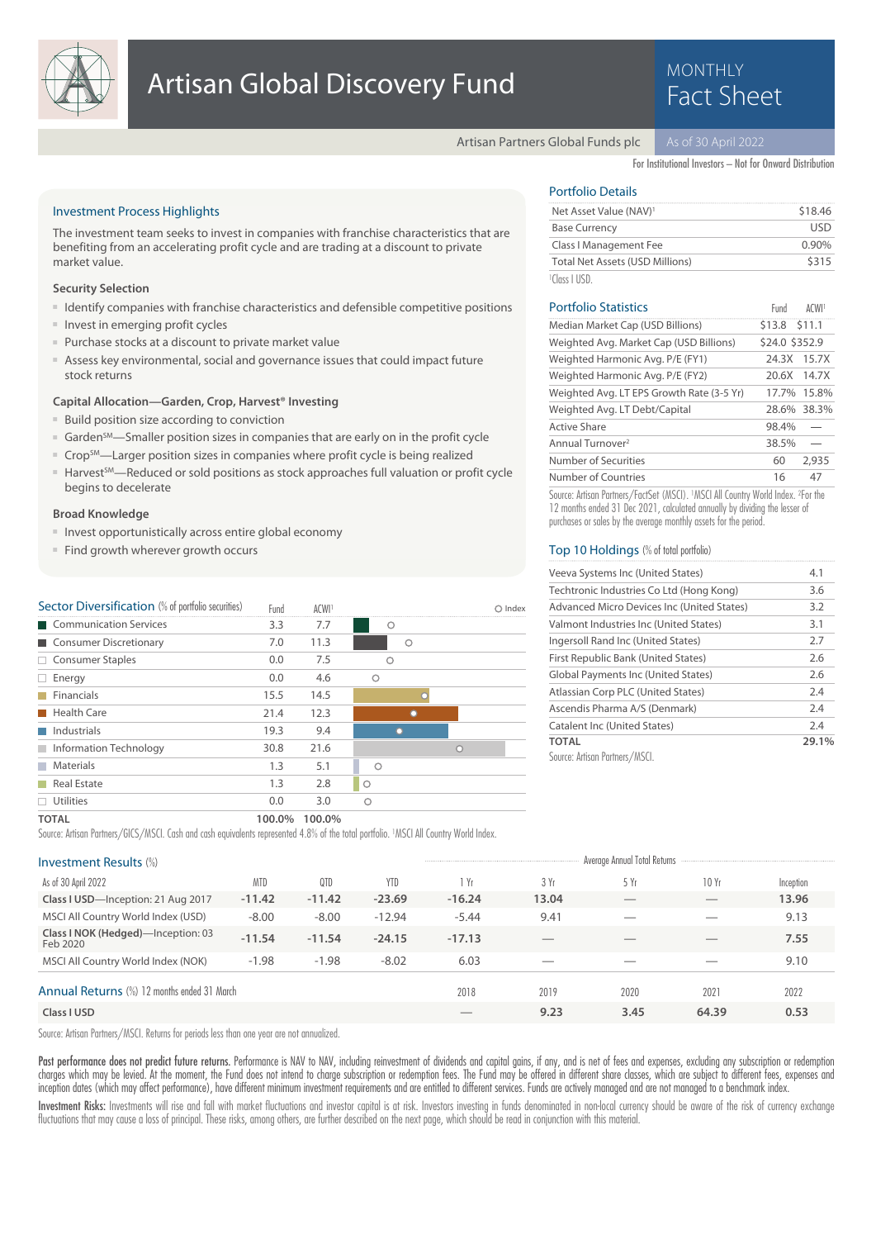

# MONTHLY

Artisan Partners Global Funds plc

For Institutional Investors – Not for Onward Distribution

#### Investment Process Highlights

The investment team seeks to invest in companies with franchise characteristics that are benefiting from an accelerating profit cycle and are trading at a discount to private market value.

#### **Security Selection**

- Identify companies with franchise characteristics and defensible competitive positions
- Invest in emerging profit cycles
- Purchase stocks at a discount to private market value
- Assess key environmental, social and governance issues that could impact future stock returns

#### **Capital Allocation—Garden, Crop, Harvest® Investing**

- Build position size according to conviction
- Garden<sup>SM</sup>—Smaller position sizes in companies that are early on in the profit cycle
- Crop<sup>SM</sup>—Larger position sizes in companies where profit cycle is being realized
- Harvest<sup>SM</sup>—Reduced or sold positions as stock approaches full valuation or profit cycle begins to decelerate

#### **Broad Knowledge**

- Invest opportunistically across entire global economy
- Find growth wherever growth occurs

| Sector Diversification (% of portfolio securities) | Fund | ACWI <sup>1</sup> |         | Index |
|----------------------------------------------------|------|-------------------|---------|-------|
| Communication Services                             | 3.3  | 7.7               | Ω       |       |
| Consumer Discretionary                             | 7.0  | 11.3              | O       |       |
| $\Box$ Consumer Staples                            | 0.0  | 7.5               | ∩       |       |
| Energy<br>H                                        | 0.0  | 4.6               | ∩       |       |
| $\blacksquare$ Financials                          | 15.5 | 14.5              |         |       |
| Health Care                                        | 21.4 | 12.3              |         |       |
| Industrials                                        | 19.3 | 9.4               |         |       |
| Information Technology                             | 30.8 | 21.6              |         |       |
| <b>Materials</b><br><b>Tall</b>                    | 1.3  | 5.1               |         |       |
| <b>Real Estate</b>                                 | 1.3  | 2.8               | $\circ$ |       |
| Utilities                                          | 0.0  | 3.0               |         |       |

## Portfolio Details

| Net Asset Value (NAV) <sup>1</sup>     | \$18.46  |
|----------------------------------------|----------|
| <b>Base Currency</b>                   | USD      |
| Class I Management Fee                 | $0.90\%$ |
| <b>Total Net Assets (USD Millions)</b> | \$315    |
| $1$ Class LUSD                         |          |

| <b>Portfolio Statistics</b>               | Fund           | ACWI <sup>1</sup> |
|-------------------------------------------|----------------|-------------------|
| Median Market Cap (USD Billions)          | \$13.8 \$11.1  |                   |
| Weighted Avg. Market Cap (USD Billions)   | \$24.0 \$352.9 |                   |
| Weighted Harmonic Avg. P/E (FY1)          | 24.3X          | 15.7X             |
| Weighted Harmonic Avg. P/E (FY2)          | 20.6X          | 14.7X             |
| Weighted Avg. LT EPS Growth Rate (3-5 Yr) | 17.7%          | 15.8%             |
| Weighted Avg. LT Debt/Capital             |                | 28.6% 38.3%       |
| Active Share                              | 98.4%          |                   |
| Annual Turnover <sup>2</sup>              | 38.5%          |                   |
| Number of Securities                      | 60             | 2.935             |
| Number of Countries                       | 16             | 47                |

Source: Artisan Partners/FactSet (MSCI). <sup>1</sup>MSCI All Country World Index. <sup>2</sup> For the 12 months ended 31 Dec 2021, calculated annually by dividing the lesser of purchases or sales by the average monthly assets for the period.

#### Top 10 Holdings (% of total portfolio)

| Veeva Systems Inc (United States)                 | 4.1   |
|---------------------------------------------------|-------|
| Techtronic Industries Co Ltd (Hong Kong)          | 3.6   |
| <b>Advanced Micro Devices Inc (United States)</b> | 3.2   |
| Valmont Industries Inc (United States)            | 3.1   |
| Ingersoll Rand Inc (United States)                | 2.7   |
| First Republic Bank (United States)               | 2.6   |
| <b>Global Payments Inc (United States)</b>        | 2.6   |
| Atlassian Corp PLC (United States)                | 2.4   |
| Ascendis Pharma A/S (Denmark)                     | 2.4   |
| Catalent Inc (United States)                      | 2.4   |
| <b>TOTAL</b>                                      | 29.1% |
| Source: Artisan Partners/MSCI.                    |       |

### **TOTAL 100.0% 100.0%**

Source: Artisan Partners/GICS/MSCI. Cash and cash equivalents represented 4.8% of the total portfolio. <sup>1</sup>MSCI All Country World Index.

| Investment Results (%)                         |            |          |            |          |                          | Average Annual Total Returns |       |           |
|------------------------------------------------|------------|----------|------------|----------|--------------------------|------------------------------|-------|-----------|
| As of 30 April 2022                            | <b>MTD</b> | 0TD      | <b>YTD</b> | i Yr     | 3 Yr                     | 5 Yr                         | 10 Yr | Inception |
| Class I USD-Inception: 21 Aug 2017             | $-11.42$   | $-11.42$ | $-23.69$   | $-16.24$ | 13.04                    | __                           |       | 13.96     |
| MSCI All Country World Index (USD)             | $-8.00$    | $-8.00$  | $-12.94$   | $-5.44$  | 9.41                     |                              |       | 9.13      |
| Class I NOK (Hedged)-Inception: 03<br>Feb 2020 | $-11.54$   | $-11.54$ | $-24.15$   | $-17.13$ | $\overline{\phantom{a}}$ |                              | $-$   | 7.55      |
| MSCI All Country World Index (NOK)             | $-1.98$    | $-1.98$  | $-8.02$    | 6.03     |                          |                              |       | 9.10      |
| Annual Returns (%) 12 months ended 31 March    |            |          |            | 2018     | 2019                     | 2020                         | 2021  | 2022      |
| Class I USD                                    |            |          |            |          | 9.23                     | 3.45                         | 64.39 | 0.53      |

Source: Artisan Partners/MSCI. Returns for periods less than one year are not annualized.

Past performance does not predict future returns. Performance is NAV to NAV, including reinvestment of dividends and capital gains, if any, and is net of fees and expenses, excluding any subscription or redemption charges which may be levied. At the moment, the Fund does not intend to charge subscription or redemption fees. The Fund may be offered in different share classes, which are subject to different fees, expenses and charge s inception dates (which may affect performance), have different minimum investment requirements and are entitled to different services. Funds are actively managed and are not managed to a benchmark index.

Investment Risks: Investments will rise and fall with market fluctuations and investor capital is at risk. Investors investing in funds denominated in non-local currency should be aware of the risk of currency exchange fluctuations that may cause a loss of principal. These risks, among others, are further described on the next page, which should be read in conjunction with this material.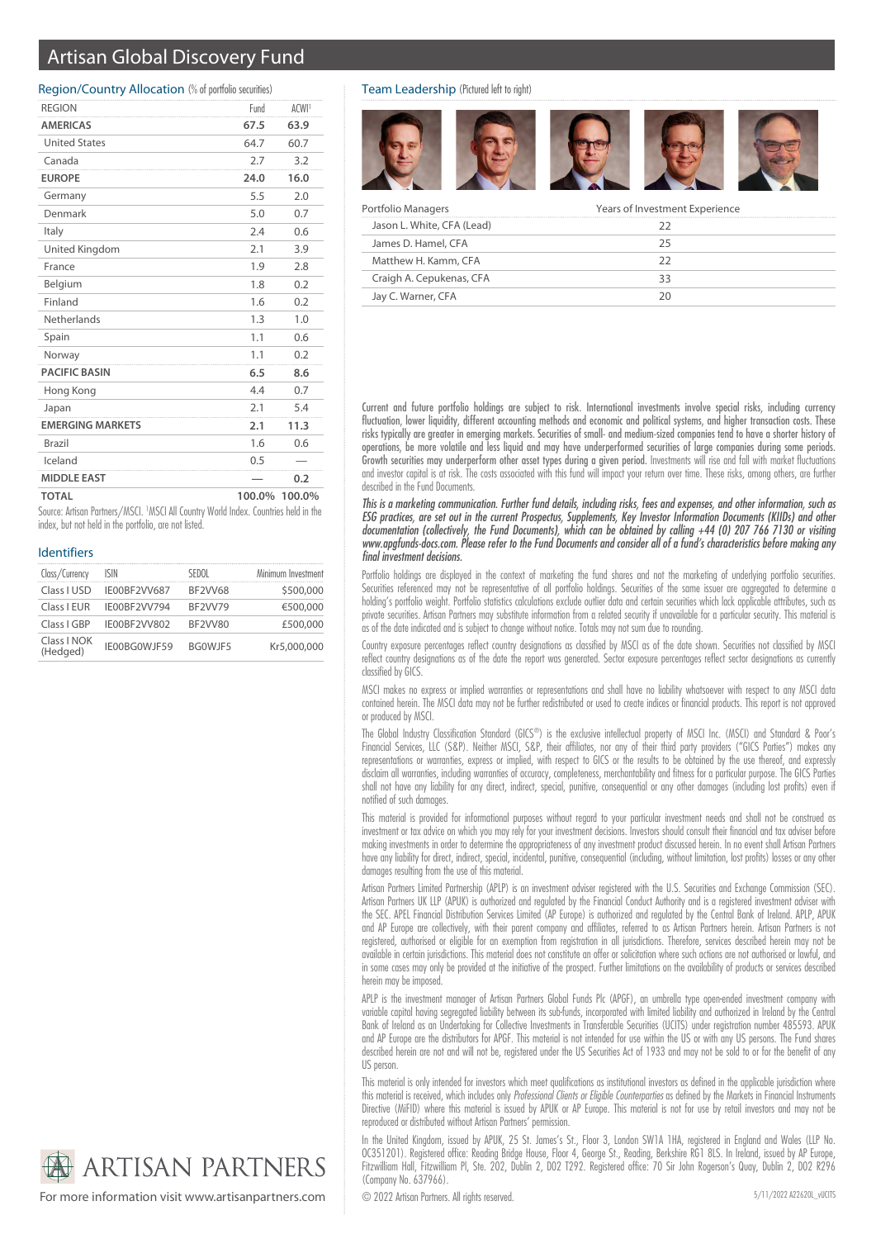# Artisan Global Discovery Fund

#### Region/Country Allocation (% of portfolio securities)

| <b>REGION</b>           | Fund | ACWI <sup>1</sup> |
|-------------------------|------|-------------------|
| <b>AMERICAS</b>         | 67.5 | 63.9              |
| <b>United States</b>    | 64.7 | 60.7              |
| Canada                  | 2.7  | 3.2               |
| <b>EUROPE</b>           | 24.0 | 16.0              |
| Germany                 | 5.5  | 2.0               |
| Denmark                 | 5.0  | 0.7               |
| Italy                   | 2.4  | 0.6               |
| United Kingdom          | 2.1  | 3.9               |
| France                  | 1.9  | 2.8               |
| Belgium                 | 1.8  | 0.2               |
| Finland                 | 1.6  | 0.2               |
| Netherlands             | 1.3  | 1.0               |
| Spain                   | 1.1  | 0.6               |
| Norway                  | 1.1  | 0.2               |
| <b>PACIFIC BASIN</b>    | 6.5  | 8.6               |
| Hong Kong               | 4.4  | 0.7               |
| Japan                   | 2.1  | 5.4               |
| <b>EMERGING MARKETS</b> | 2.1  | 11.3              |
| <b>Brazil</b>           | 1.6  | 0.6               |
| Iceland                 | 0.5  |                   |
| <b>MIDDLE EAST</b>      |      | 0.2               |
| <b>TOTAL</b>            |      | 100.0% 100.0%     |

Source: Artisan Partners/MSCI. <sup>1</sup>MSCI All Country World Index. Countries held in the index, but not held in the portfolio, are not listed.

#### Identifiers

| Class/Currency          | ISIN         | SEDOL          | Minimum Investment |
|-------------------------|--------------|----------------|--------------------|
| Class LUSD              | IE00BF2VV687 | <b>BF2VV68</b> | \$500,000          |
| Class I EUR             | IE00BF2VV794 | <b>BF2VV79</b> | €500,000           |
| Class I GBP             | IF00BF2VV802 | BF2VV80        | £500,000           |
| Class I NOK<br>(Hedged) | IE00BG0WJF59 | BGOWJF5        | Kr5,000,000        |

Team Leadership (Pictured left to right)



| Portfolio Managers         | Years of Investment Experience |  |
|----------------------------|--------------------------------|--|
| Jason L. White, CFA (Lead) |                                |  |
| James D. Hamel, CFA        | 75                             |  |
| Matthew H. Kamm, CFA       | フフ                             |  |
| Craigh A. Cepukenas, CFA   | 33                             |  |
| Jay C. Warner, CFA         |                                |  |

Current and future portfolio holdings are subject to risk. International investments involve special risks, including currency fluctuation, lower liquidity, different accounting methods and economic and political systems, and higher transaction costs. These risks typically are greater in emerging markets. Securities of small- and medium-sized companies tend to have a shorter history of operations, be more volatile and less liquid and may have underperformed securities of large companies during some periods. Growth securities may underperform other asset types during a given period. Investments will rise and fall with market fluctuations and investor capital is at risk. The costs associated with this fund will impact your return over time. These risks, among others, are further described in the Fund Documents.

This is a marketing communication. Further fund details, including risks, fees and expenses, and other information, such as ESG practices, are set out in the current Prospectus, Supplements, Key Investor Information Documents (KIIDs) and other documentation (collectively, the Fund Documents), which can be obtained by calling +44 (0) 207 766 7130 or visiting www.apgfunds-docs.com. Please refer to the Fund Documents and consider all of a fund's characteristics before making any final investment decisions.

Portfolio holdings are displayed in the context of marketing the fund shares and not the marketing of underlying portfolio securities. Securities referenced may not be representative of all portfolio holdings. Securities of the same issuer are aggregated to determine a holding's portfolio weight. Portfolio statistics calculations exclude outlier data and certain securities which lack applicable attributes, such as private securities. Artisan Partners may substitute information from a related security if unavailable for a particular security. This material is as of the date indicated and is subject to change without notice. Totals may not sum due to rounding.

Country exposure percentages reflect country designations as classified by MSCI as of the date shown. Securities not classified by MSCI reflect country designations as of the date the report was generated. Sector exposure percentages reflect sector designations as currently classified by GICS.

MSCI makes no express or implied warranties or representations and shall have no liability whatsoever with respect to any MSCI data contained herein. The MSCI data may not be further redistributed or used to create indices or financial products. This report is not approved or produced by MSCI.

The Global Industry Classification Standard (GICS®) is the exclusive intellectual property of MSCI Inc. (MSCI) and Standard & Poor's Financial Services, LLC (S&P). Neither MSCI, S&P, their affiliates, nor any of their third party providers ("GICS Parties") makes any representations or warranties, express or implied, with respect to GICS or the results to be obtained by the use thereof, and expressly disclaim all warranties, including warranties of accuracy, completeness, merchantability and fitness for a particular purpose. The GICS Parties shall not have any liability for any direct, indirect, special, punitive, consequential or any other damages (including lost profits) even if notified of such damages.

This material is provided for informational purposes without regard to your particular investment needs and shall not be construed as investment or tax advice on which you may rely for your investment decisions. Investors should consult their financial and tax adviser before making investments in order to determine the appropriateness of any investment product discussed herein. In no event shall Artisan Partners have any liability for direct, indirect, special, incidental, punitive, consequential (including, without limitation, lost profits) losses or any other damages resulting from the use of this material.

Artisan Partners Limited Partnership (APLP) is an investment adviser registered with the U.S. Securities and Exchange Commission (SEC). Artisan Partners UK LLP (APUK) is authorized and regulated by the Financial Conduct Authority and is a registered investment adviser with the SEC. APEL Financial Distribution Services Limited (AP Europe) is authorized and regulated by the Central Bank of Ireland. APLP, APUK and AP Europe are collectively, with their parent company and affiliates, referred to as Artisan Partners herein. Artisan Partners is not registered, authorised or eligible for an exemption from registration in all jurisdictions. Therefore, services described herein may not be available in certain jurisdictions. This material does not constitute an offer or solicitation where such actions are not authorised or lawful, and in some cases may only be provided at the initiative of the prospect. Further limitations on the availability of products or services described herein may be imposed.

APLP is the investment manager of Artisan Partners Global Funds Plc (APGF), an umbrella type open-ended investment company with variable capital having segregated liability between its sub-funds, incorporated with limited liability and authorized in Ireland by the Central Bank of Ireland as an Undertaking for Collective Investments in Transferable Securities (UCITS) under registration number 485593. APUK and AP Europe are the distributors for APGF. This material is not intended for use within the US or with any US persons. The Fund shares described herein are not and will not be, registered under the US Securities Act of 1933 and may not be sold to or for the benefit of any US person.

This material is only intended for investors which meet qualifications as institutional investors as defined in the applicable jurisdiction where this material is received, which includes only Professional Clients or Eligible Counterparties as defined by the Markets in Financial Instruments Directive (MiFID) where this material is issued by APUK or AP Europe. This material is not for use by retail investors and may not be reproduced or distributed without Artisan Partners' permission.

In the United Kingdom, issued by APUK, 25 St. James's St., Floor 3, London SW1A 1HA, registered in England and Wales (LLP No. OC351201). Registered office: Reading Bridge House, Floor 4, George St., Reading, Berkshire RG1 8LS. In Ireland, issued by AP Europe, Fitzwilliam Hall, Fitzwilliam Pl, Ste. 202, Dublin 2, D02 T292. Registered office: 70 Sir John Rogerson's Quay, Dublin 2, D02 R296 (Company No. 637966).



For more information visit www.artisanpartners.com  $\bigcirc$  2022 Artisan Partners. All rights reserved.